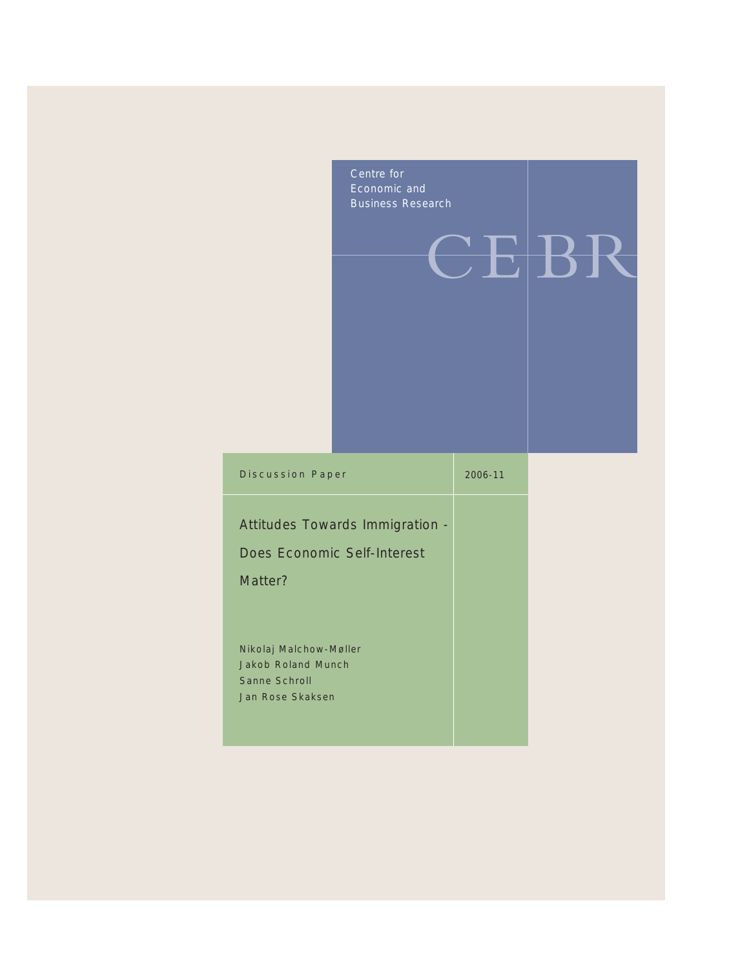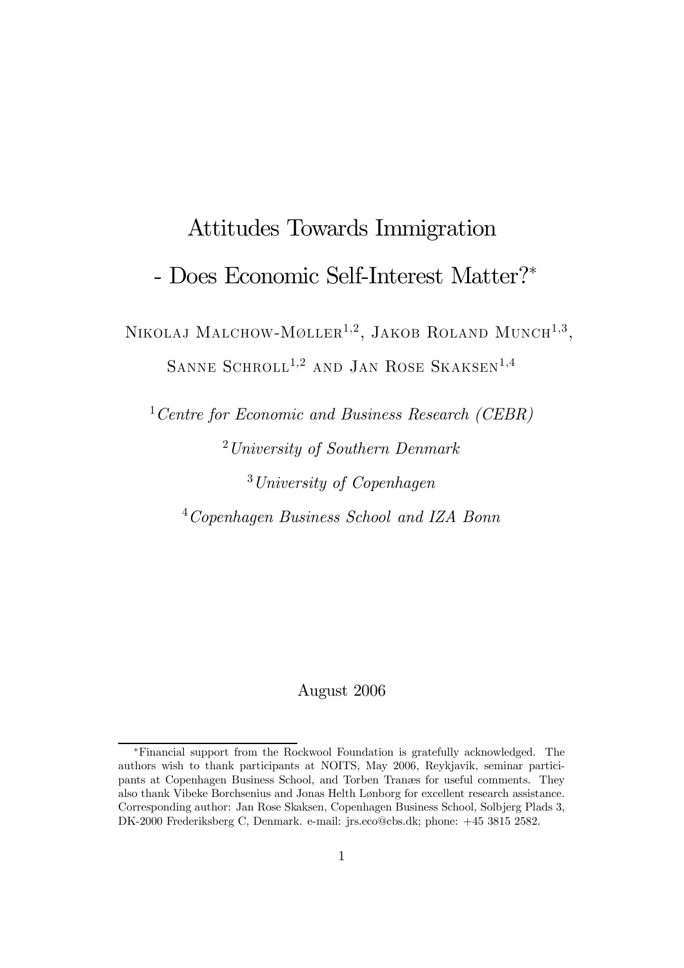# Attitudes Towards Immigration

# - Does Economic Self-Interest Matter?<sup>∗</sup>

NIKOLAJ MALCHOW-MØLLER<sup>1,2</sup>, JAKOB ROLAND MUNCH<sup>1,3</sup>, SANNE SCHROLL<sup>1,2</sup> AND JAN ROSE SKAKSEN<sup>1,4</sup>

Centre for Economic and Business Research (CEBR) University of Southern Denmark University of Copenhagen Copenhagen Business School and IZA Bonn

August 2006

<sup>∗</sup>Financial support from the Rockwool Foundation is gratefully acknowledged. The authors wish to thank participants at NOITS, May 2006, Reykjavik, seminar participants at Copenhagen Business School, and Torben Tranæs for useful comments. They also thank Vibeke Borchsenius and Jonas Helth Lønborg for excellent research assistance. Corresponding author: Jan Rose Skaksen, Copenhagen Business School, Solbjerg Plads 3, DK-2000 Frederiksberg C, Denmark. e-mail: jrs.eco@cbs.dk; phone: +45 3815 2582.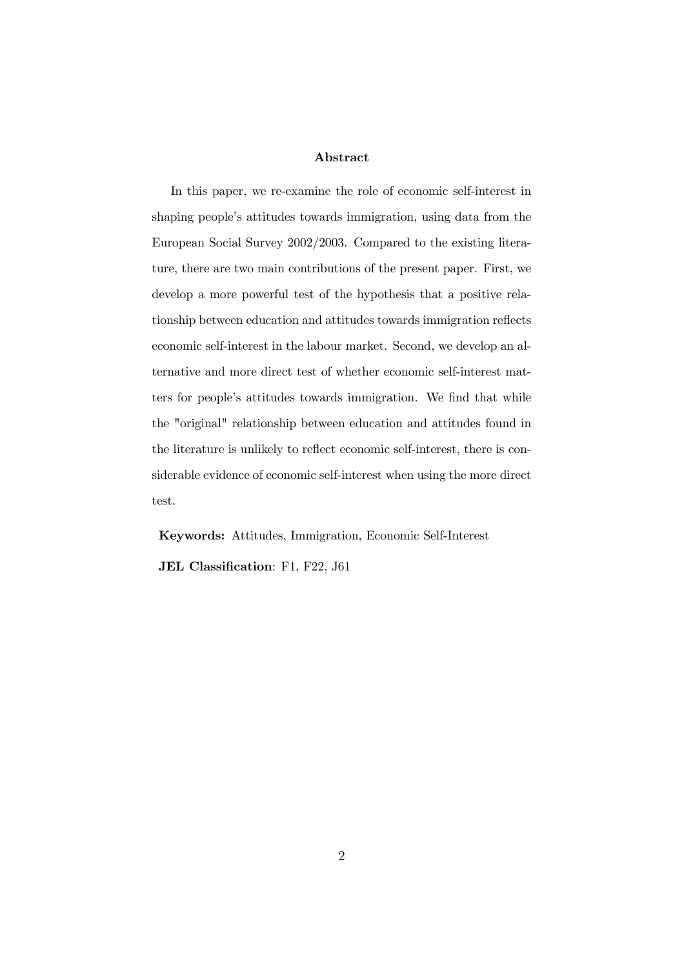## Abstract

In this paper, we re-examine the role of economic self-interest in shaping people's attitudes towards immigration, using data from the European Social Survey 2002/2003. Compared to the existing literature, there are two main contributions of the present paper. First, we develop a more powerful test of the hypothesis that a positive relationship between education and attitudes towards immigration reflects economic self-interest in the labour market. Second, we develop an alternative and more direct test of whether economic self-interest matters for people's attitudes towards immigration. We find that while the "original" relationship between education and attitudes found in the literature is unlikely to reflect economic self-interest, there is considerable evidence of economic self-interest when using the more direct test.

Keywords: Attitudes, Immigration, Economic Self-Interest JEL Classification: F1, F22, J61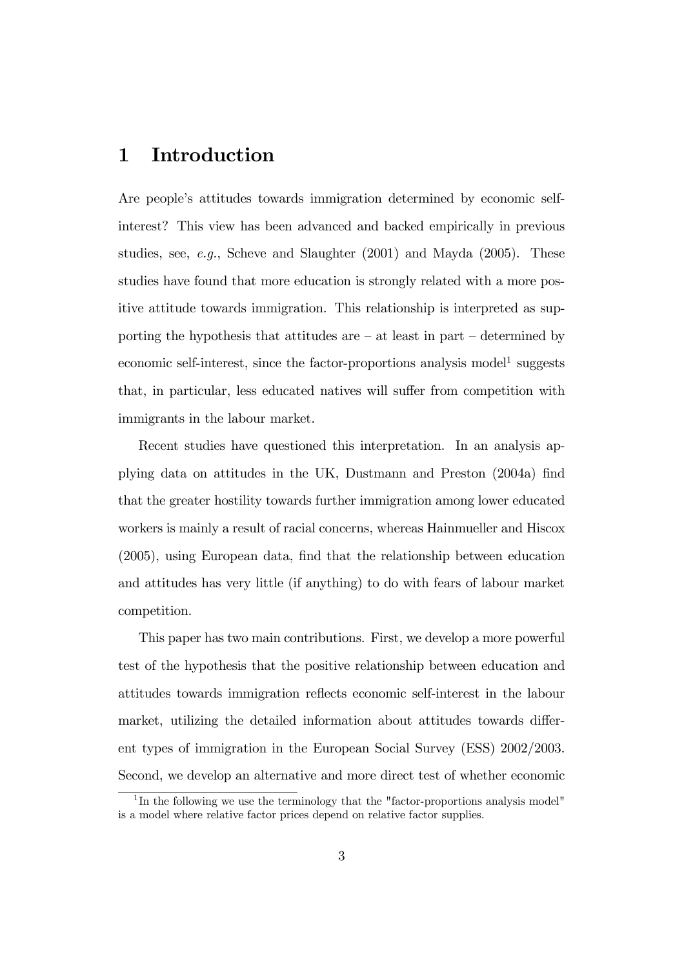# 1 Introduction

Are people's attitudes towards immigration determined by economic selfinterest? This view has been advanced and backed empirically in previous studies, see, e.g., Scheve and Slaughter  $(2001)$  and Mayda  $(2005)$ . These studies have found that more education is strongly related with a more positive attitude towards immigration. This relationship is interpreted as supporting the hypothesis that attitudes are  $-$  at least in part  $-$  determined by economic self-interest, since the factor-proportions analysis model<sup>1</sup> suggests that, in particular, less educated natives will suffer from competition with immigrants in the labour market.

Recent studies have questioned this interpretation. In an analysis applying data on attitudes in the UK, Dustmann and Preston (2004a) find that the greater hostility towards further immigration among lower educated workers is mainly a result of racial concerns, whereas Hainmueller and Hiscox (2005), using European data, find that the relationship between education and attitudes has very little (if anything) to do with fears of labour market competition.

This paper has two main contributions. First, we develop a more powerful test of the hypothesis that the positive relationship between education and attitudes towards immigration reflects economic self-interest in the labour market, utilizing the detailed information about attitudes towards different types of immigration in the European Social Survey (ESS) 2002/2003. Second, we develop an alternative and more direct test of whether economic

<sup>&</sup>lt;sup>1</sup>In the following we use the terminology that the "factor-proportions analysis model" is a model where relative factor prices depend on relative factor supplies.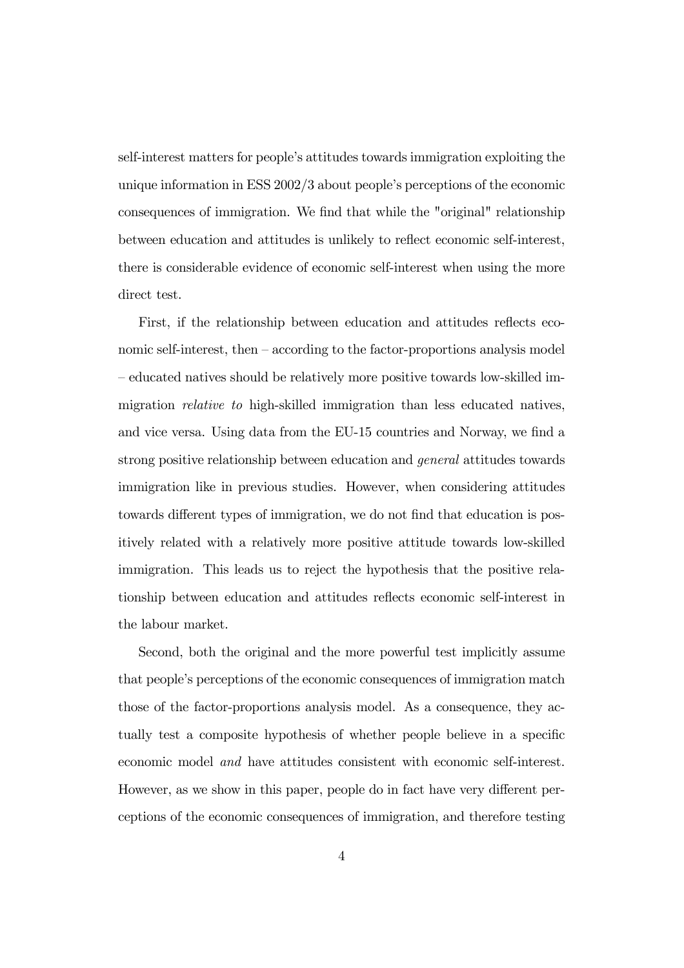self-interest matters for people's attitudes towards immigration exploiting the unique information in ESS 2002/3 about people's perceptions of the economic consequences of immigration. We find that while the "original" relationship between education and attitudes is unlikely to reflect economic self-interest, there is considerable evidence of economic self-interest when using the more direct test.

First, if the relationship between education and attitudes reflects economic self-interest, then — according to the factor-proportions analysis model — educated natives should be relatively more positive towards low-skilled immigration *relative to* high-skilled immigration than less educated natives, and vice versa. Using data from the EU-15 countries and Norway, we find a strong positive relationship between education and general attitudes towards immigration like in previous studies. However, when considering attitudes towards different types of immigration, we do not find that education is positively related with a relatively more positive attitude towards low-skilled immigration. This leads us to reject the hypothesis that the positive relationship between education and attitudes reflects economic self-interest in the labour market.

Second, both the original and the more powerful test implicitly assume that people's perceptions of the economic consequences of immigration match those of the factor-proportions analysis model. As a consequence, they actually test a composite hypothesis of whether people believe in a specific economic model and have attitudes consistent with economic self-interest. However, as we show in this paper, people do in fact have very different perceptions of the economic consequences of immigration, and therefore testing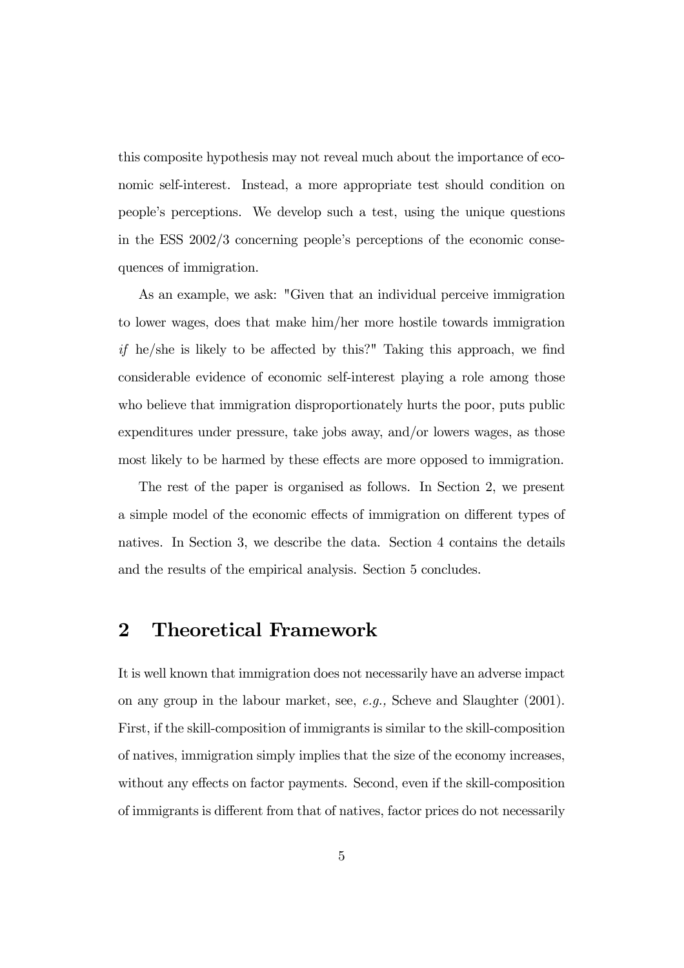this composite hypothesis may not reveal much about the importance of economic self-interest. Instead, a more appropriate test should condition on people's perceptions. We develop such a test, using the unique questions in the ESS 2002/3 concerning people's perceptions of the economic consequences of immigration.

As an example, we ask: "Given that an individual perceive immigration to lower wages, does that make him/her more hostile towards immigration if he/she is likely to be affected by this?" Taking this approach, we find considerable evidence of economic self-interest playing a role among those who believe that immigration disproportionately hurts the poor, puts public expenditures under pressure, take jobs away, and/or lowers wages, as those most likely to be harmed by these effects are more opposed to immigration.

The rest of the paper is organised as follows. In Section 2, we present a simple model of the economic effects of immigration on different types of natives. In Section 3, we describe the data. Section 4 contains the details and the results of the empirical analysis. Section 5 concludes.

# 2 Theoretical Framework

It is well known that immigration does not necessarily have an adverse impact on any group in the labour market, see, e.g., Scheve and Slaughter (2001). First, if the skill-composition of immigrants is similar to the skill-composition of natives, immigration simply implies that the size of the economy increases, without any effects on factor payments. Second, even if the skill-composition of immigrants is different from that of natives, factor prices do not necessarily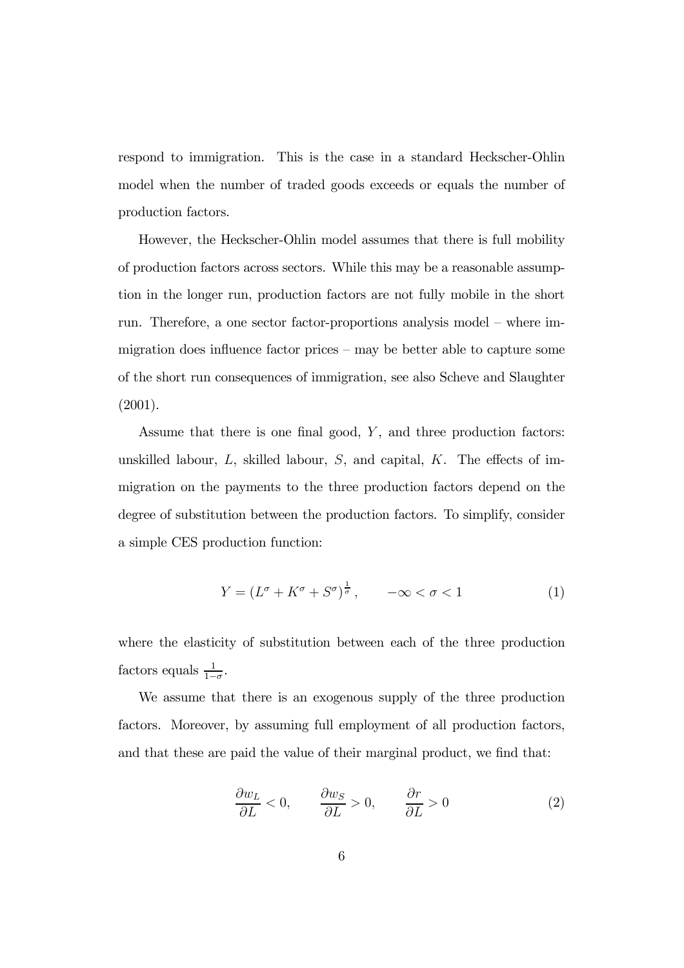respond to immigration. This is the case in a standard Heckscher-Ohlin model when the number of traded goods exceeds or equals the number of production factors.

However, the Heckscher-Ohlin model assumes that there is full mobility of production factors across sectors. While this may be a reasonable assumption in the longer run, production factors are not fully mobile in the short run. Therefore, a one sector factor-proportions analysis model — where immigration does influence factor prices — may be better able to capture some of the short run consequences of immigration, see also Scheve and Slaughter (2001).

Assume that there is one final good,  $Y$ , and three production factors: unskilled labour,  $L$ , skilled labour,  $S$ , and capital,  $K$ . The effects of immigration on the payments to the three production factors depend on the degree of substitution between the production factors. To simplify, consider a simple CES production function:

$$
Y = (L^{\sigma} + K^{\sigma} + S^{\sigma})^{\frac{1}{\sigma}}, \qquad -\infty < \sigma < 1 \tag{1}
$$

where the elasticity of substitution between each of the three production factors equals  $\frac{1}{1-\sigma}$ .

We assume that there is an exogenous supply of the three production factors. Moreover, by assuming full employment of all production factors, and that these are paid the value of their marginal product, we find that:

$$
\frac{\partial w_L}{\partial L} < 0, \qquad \frac{\partial w_S}{\partial L} > 0, \qquad \frac{\partial r}{\partial L} > 0 \tag{2}
$$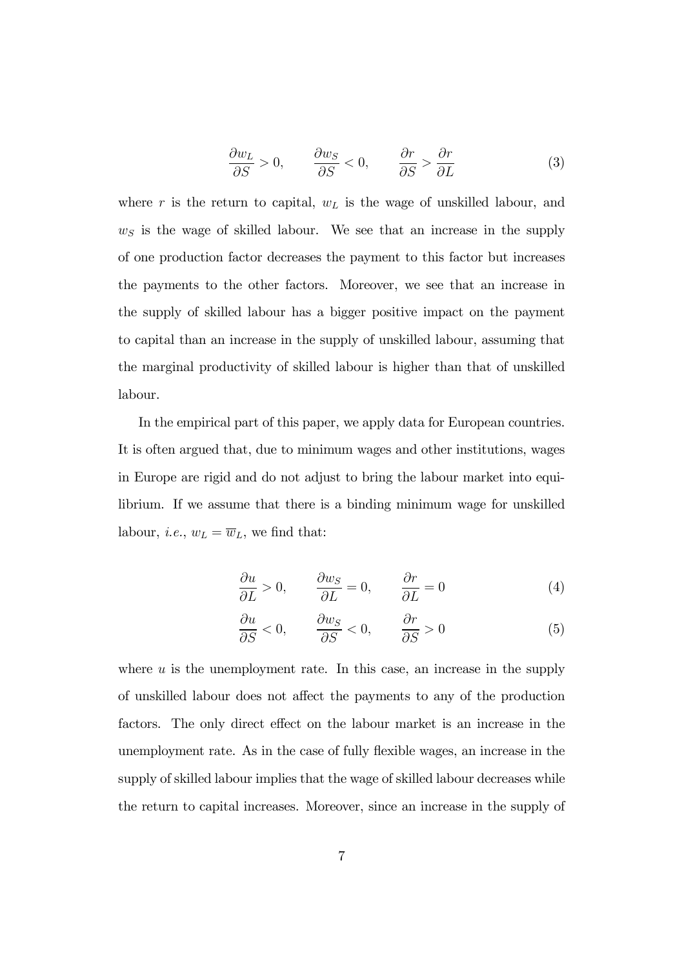$$
\frac{\partial w_L}{\partial S} > 0, \qquad \frac{\partial w_S}{\partial S} < 0, \qquad \frac{\partial r}{\partial S} > \frac{\partial r}{\partial L}
$$
(3)

where r is the return to capital,  $w<sub>L</sub>$  is the wage of unskilled labour, and  $w<sub>S</sub>$  is the wage of skilled labour. We see that an increase in the supply of one production factor decreases the payment to this factor but increases the payments to the other factors. Moreover, we see that an increase in the supply of skilled labour has a bigger positive impact on the payment to capital than an increase in the supply of unskilled labour, assuming that the marginal productivity of skilled labour is higher than that of unskilled labour.

In the empirical part of this paper, we apply data for European countries. It is often argued that, due to minimum wages and other institutions, wages in Europe are rigid and do not adjust to bring the labour market into equilibrium. If we assume that there is a binding minimum wage for unskilled labour, *i.e.*,  $w_L = \overline{w}_L$ , we find that:

$$
\frac{\partial u}{\partial L} > 0, \qquad \frac{\partial w_S}{\partial L} = 0, \qquad \frac{\partial r}{\partial L} = 0 \tag{4}
$$

$$
\frac{\partial u}{\partial S} < 0, \qquad \frac{\partial w_S}{\partial S} < 0, \qquad \frac{\partial r}{\partial S} > 0 \tag{5}
$$

where  $u$  is the unemployment rate. In this case, an increase in the supply of unskilled labour does not affect the payments to any of the production factors. The only direct effect on the labour market is an increase in the unemployment rate. As in the case of fully flexible wages, an increase in the supply of skilled labour implies that the wage of skilled labour decreases while the return to capital increases. Moreover, since an increase in the supply of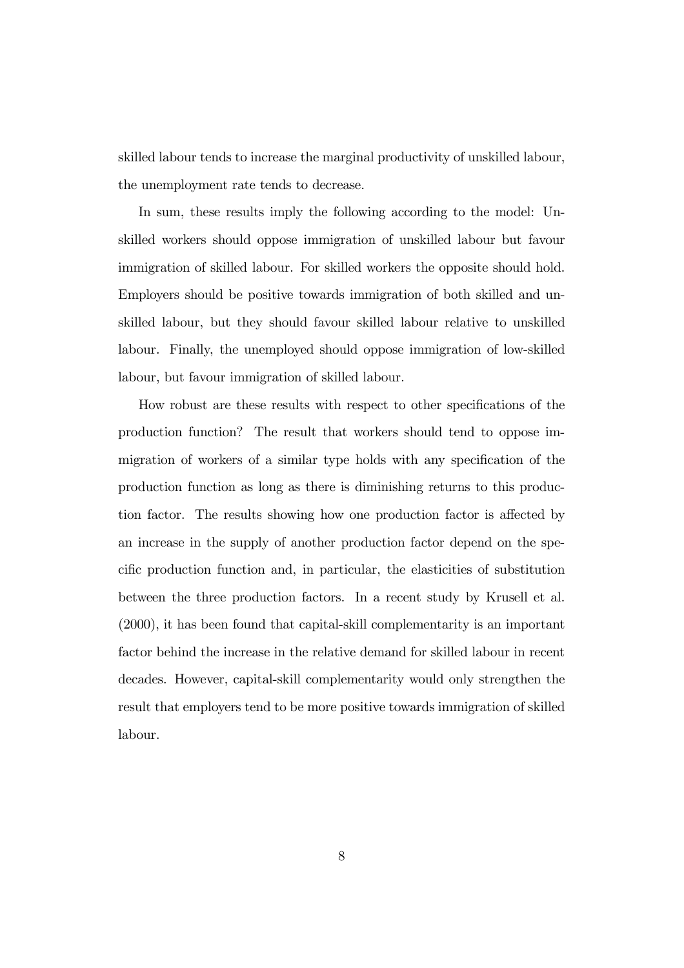skilled labour tends to increase the marginal productivity of unskilled labour, the unemployment rate tends to decrease.

In sum, these results imply the following according to the model: Unskilled workers should oppose immigration of unskilled labour but favour immigration of skilled labour. For skilled workers the opposite should hold. Employers should be positive towards immigration of both skilled and unskilled labour, but they should favour skilled labour relative to unskilled labour. Finally, the unemployed should oppose immigration of low-skilled labour, but favour immigration of skilled labour.

How robust are these results with respect to other specifications of the production function? The result that workers should tend to oppose immigration of workers of a similar type holds with any specification of the production function as long as there is diminishing returns to this production factor. The results showing how one production factor is affected by an increase in the supply of another production factor depend on the specific production function and, in particular, the elasticities of substitution between the three production factors. In a recent study by Krusell et al. (2000), it has been found that capital-skill complementarity is an important factor behind the increase in the relative demand for skilled labour in recent decades. However, capital-skill complementarity would only strengthen the result that employers tend to be more positive towards immigration of skilled labour.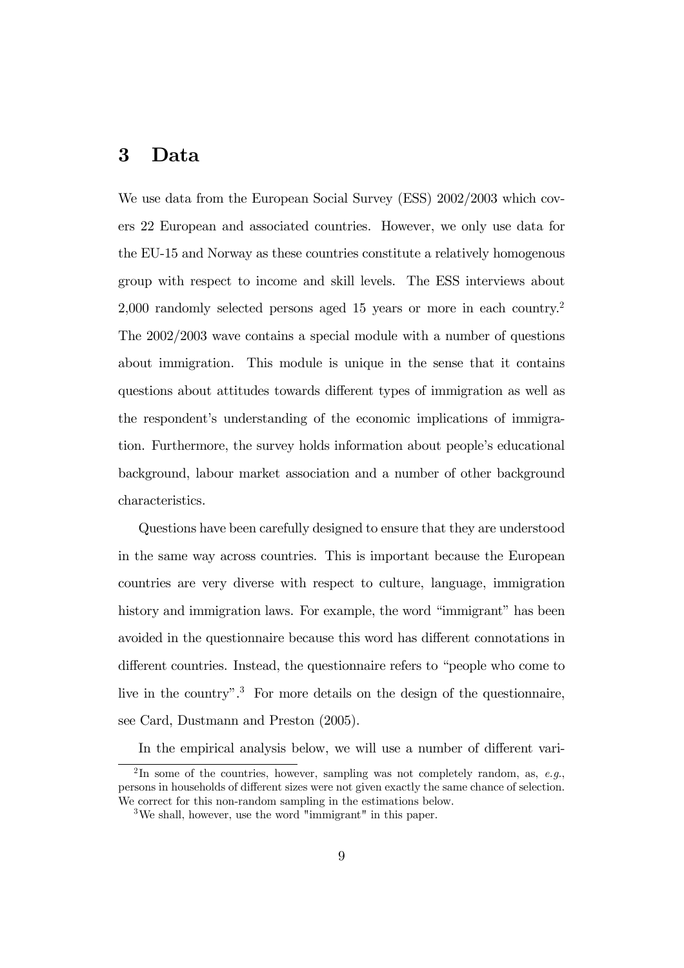# 3 Data

We use data from the European Social Survey (ESS) 2002/2003 which covers 22 European and associated countries. However, we only use data for the EU-15 and Norway as these countries constitute a relatively homogenous group with respect to income and skill levels. The ESS interviews about 2,000 randomly selected persons aged 15 years or more in each country.2 The 2002/2003 wave contains a special module with a number of questions about immigration. This module is unique in the sense that it contains questions about attitudes towards different types of immigration as well as the respondent's understanding of the economic implications of immigration. Furthermore, the survey holds information about people's educational background, labour market association and a number of other background characteristics.

Questions have been carefully designed to ensure that they are understood in the same way across countries. This is important because the European countries are very diverse with respect to culture, language, immigration history and immigration laws. For example, the word "immigrant" has been avoided in the questionnaire because this word has different connotations in different countries. Instead, the questionnaire refers to "people who come to live in the country".<sup>3</sup> For more details on the design of the questionnaire, see Card, Dustmann and Preston (2005).

In the empirical analysis below, we will use a number of different vari-

<sup>&</sup>lt;sup>2</sup>In some of the countries, however, sampling was not completely random, as, *e.g.*, persons in households of different sizes were not given exactly the same chance of selection. We correct for this non-random sampling in the estimations below.

<sup>3</sup>We shall, however, use the word "immigrant" in this paper.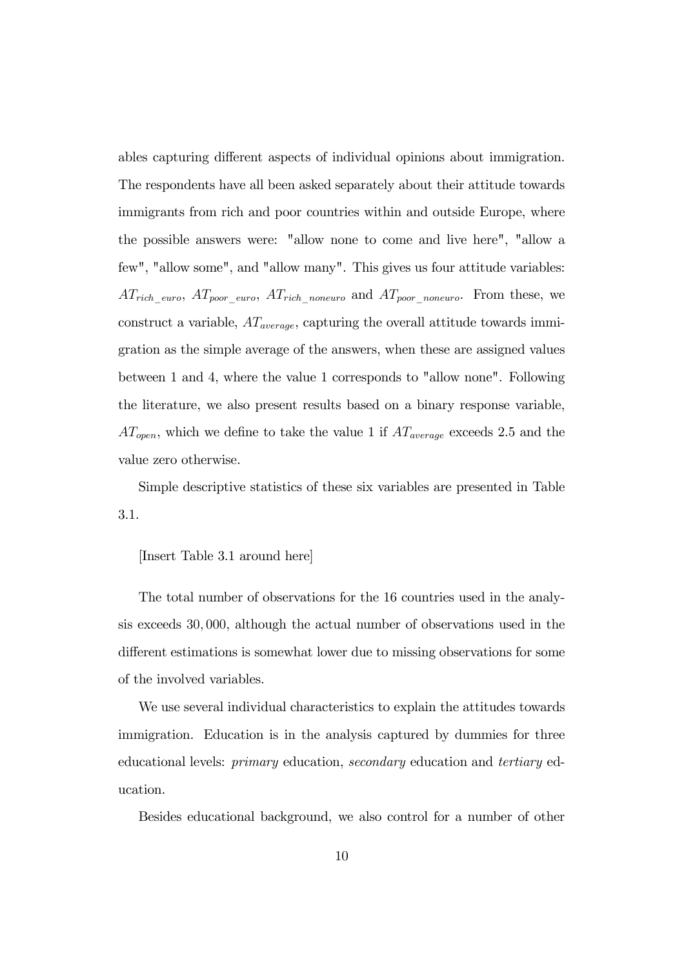ables capturing different aspects of individual opinions about immigration. The respondents have all been asked separately about their attitude towards immigrants from rich and poor countries within and outside Europe, where the possible answers were: "allow none to come and live here", "allow a few", "allow some", and "allow many". This gives us four attitude variables:  $AT_{rich\_euro}$ ,  $AT_{poor\_euro}$ ,  $AT_{rich\_noneuro}$  and  $AT_{poor\_noneuro}$ . From these, we construct a variable,  $AT_{average}$ , capturing the overall attitude towards immigration as the simple average of the answers, when these are assigned values between 1 and 4, where the value 1 corresponds to "allow none". Following the literature, we also present results based on a binary response variable,  $AT_{open}$ , which we define to take the value 1 if  $AT_{average}$  exceeds 2.5 and the value zero otherwise.

Simple descriptive statistics of these six variables are presented in Table 3.1.

### [Insert Table 3.1 around here]

The total number of observations for the 16 countries used in the analysis exceeds 30, 000, although the actual number of observations used in the different estimations is somewhat lower due to missing observations for some of the involved variables.

We use several individual characteristics to explain the attitudes towards immigration. Education is in the analysis captured by dummies for three educational levels: primary education, secondary education and tertiary education.

Besides educational background, we also control for a number of other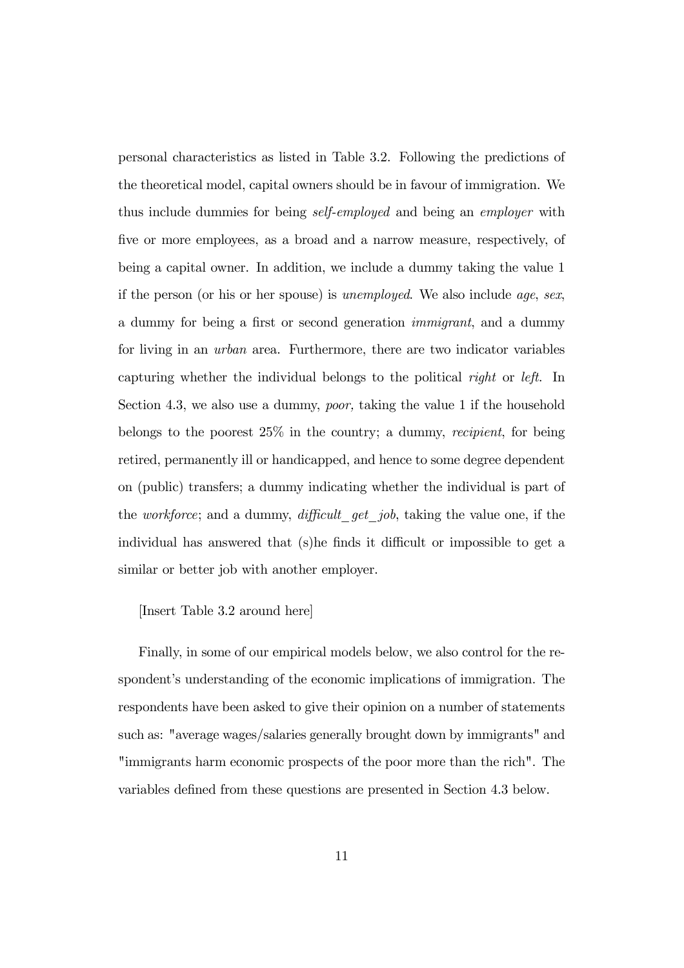personal characteristics as listed in Table 3.2. Following the predictions of the theoretical model, capital owners should be in favour of immigration. We thus include dummies for being self-employed and being an employer with five or more employees, as a broad and a narrow measure, respectively, of being a capital owner. In addition, we include a dummy taking the value 1 if the person (or his or her spouse) is unemployed. We also include age, sex, a dummy for being a first or second generation immigrant, and a dummy for living in an urban area. Furthermore, there are two indicator variables capturing whether the individual belongs to the political right or left. In Section 4.3, we also use a dummy, poor, taking the value 1 if the household belongs to the poorest 25% in the country; a dummy, recipient, for being retired, permanently ill or handicapped, and hence to some degree dependent on (public) transfers; a dummy indicating whether the individual is part of the *workforce*; and a dummy, *difficult* get job, taking the value one, if the individual has answered that (s)he finds it difficult or impossible to get a similar or better job with another employer.

## [Insert Table 3.2 around here]

Finally, in some of our empirical models below, we also control for the respondent's understanding of the economic implications of immigration. The respondents have been asked to give their opinion on a number of statements such as: "average wages/salaries generally brought down by immigrants" and "immigrants harm economic prospects of the poor more than the rich". The variables defined from these questions are presented in Section 4.3 below.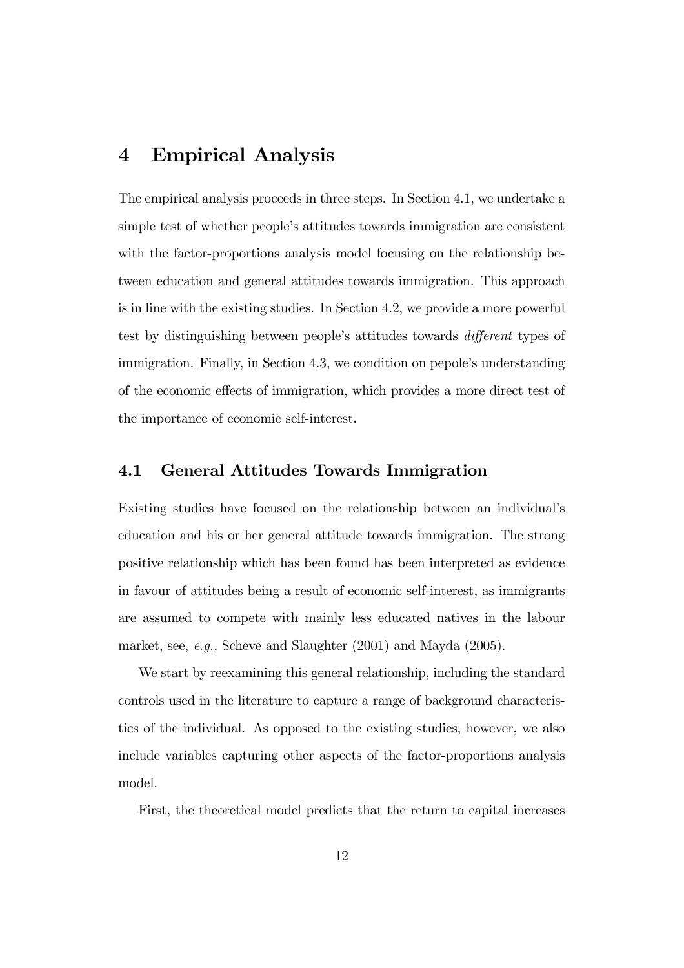# 4 Empirical Analysis

The empirical analysis proceeds in three steps. In Section 4.1, we undertake a simple test of whether people's attitudes towards immigration are consistent with the factor-proportions analysis model focusing on the relationship between education and general attitudes towards immigration. This approach is in line with the existing studies. In Section 4.2, we provide a more powerful test by distinguishing between people's attitudes towards different types of immigration. Finally, in Section 4.3, we condition on pepole's understanding of the economic effects of immigration, which provides a more direct test of the importance of economic self-interest.

## 4.1 General Attitudes Towards Immigration

Existing studies have focused on the relationship between an individual's education and his or her general attitude towards immigration. The strong positive relationship which has been found has been interpreted as evidence in favour of attitudes being a result of economic self-interest, as immigrants are assumed to compete with mainly less educated natives in the labour market, see, e.g., Scheve and Slaughter (2001) and Mayda (2005).

We start by reexamining this general relationship, including the standard controls used in the literature to capture a range of background characteristics of the individual. As opposed to the existing studies, however, we also include variables capturing other aspects of the factor-proportions analysis model.

First, the theoretical model predicts that the return to capital increases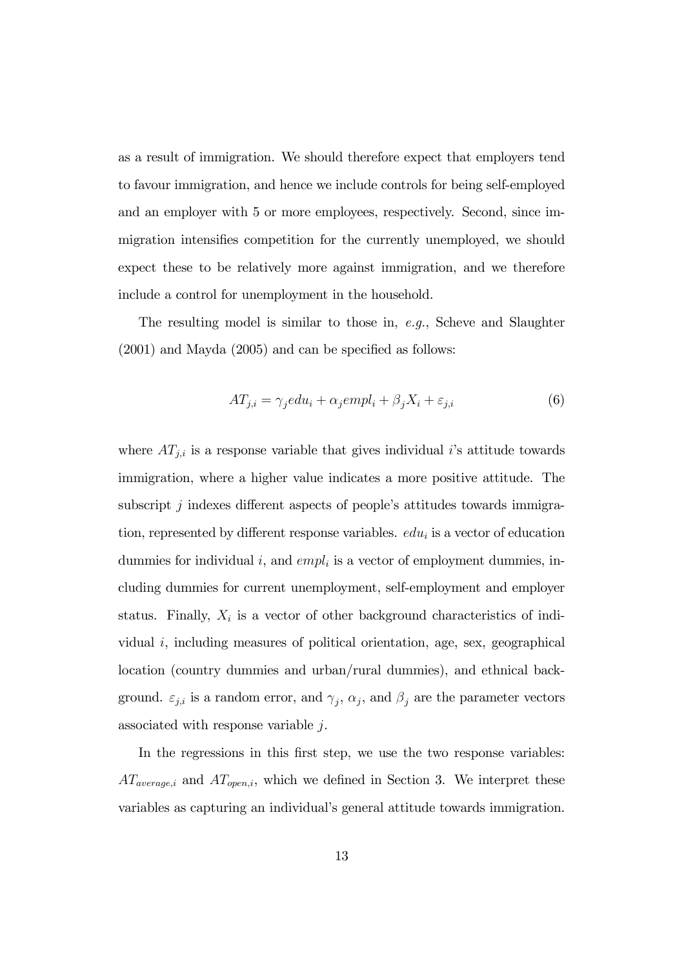as a result of immigration. We should therefore expect that employers tend to favour immigration, and hence we include controls for being self-employed and an employer with 5 or more employees, respectively. Second, since immigration intensifies competition for the currently unemployed, we should expect these to be relatively more against immigration, and we therefore include a control for unemployment in the household.

The resulting model is similar to those in,  $e,q$ ., Scheve and Slaughter (2001) and Mayda (2005) and can be specified as follows:

$$
AT_{j,i} = \gamma_j e du_i + \alpha_j e m pl_i + \beta_j X_i + \varepsilon_{j,i}
$$
\n<sup>(6)</sup>

where  $AT_{j,i}$  is a response variable that gives individual *i*'s attitude towards immigration, where a higher value indicates a more positive attitude. The subscript  $j$  indexes different aspects of people's attitudes towards immigration, represented by different response variables.  $edu_i$  is a vector of education dummies for individual i, and  $empl<sub>i</sub>$  is a vector of employment dummies, including dummies for current unemployment, self-employment and employer status. Finally,  $X_i$  is a vector of other background characteristics of individual i, including measures of political orientation, age, sex, geographical location (country dummies and urban/rural dummies), and ethnical background.  $\varepsilon_{j,i}$  is a random error, and  $\gamma_j$ ,  $\alpha_j$ , and  $\beta_j$  are the parameter vectors associated with response variable j.

In the regressions in this first step, we use the two response variables:  $AT_{average,i}$  and  $AT_{open,i}$ , which we defined in Section 3. We interpret these variables as capturing an individual's general attitude towards immigration.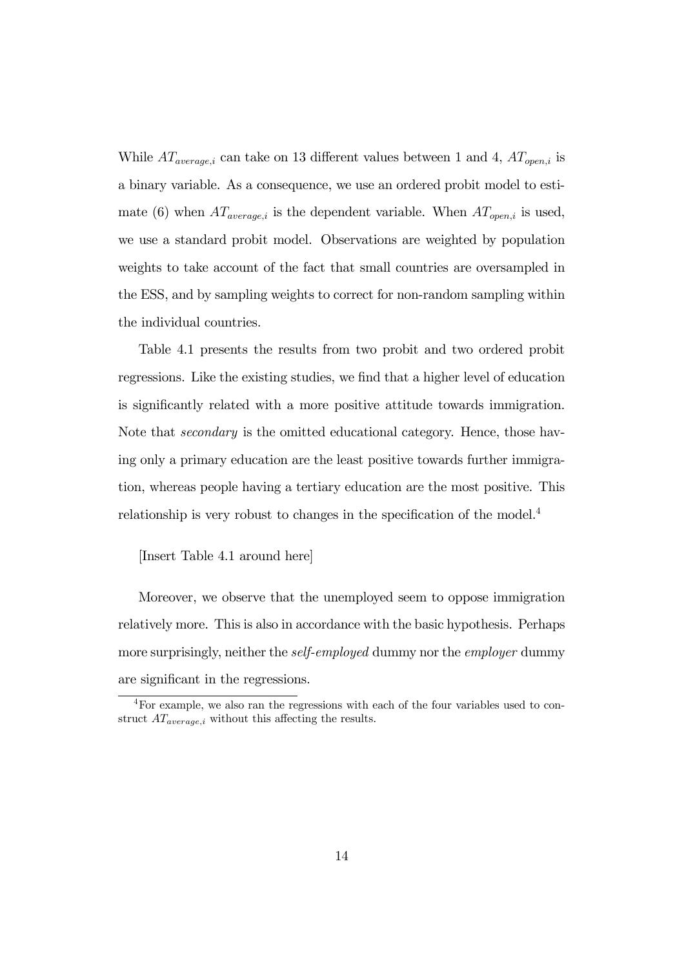While  $AT_{average,i}$  can take on 13 different values between 1 and 4,  $AT_{open,i}$  is a binary variable. As a consequence, we use an ordered probit model to estimate (6) when  $AT_{average,i}$  is the dependent variable. When  $AT_{open,i}$  is used, we use a standard probit model. Observations are weighted by population weights to take account of the fact that small countries are oversampled in the ESS, and by sampling weights to correct for non-random sampling within the individual countries.

Table 4.1 presents the results from two probit and two ordered probit regressions. Like the existing studies, we find that a higher level of education is significantly related with a more positive attitude towards immigration. Note that secondary is the omitted educational category. Hence, those having only a primary education are the least positive towards further immigration, whereas people having a tertiary education are the most positive. This relationship is very robust to changes in the specification of the model.<sup>4</sup>

## [Insert Table 4.1 around here]

Moreover, we observe that the unemployed seem to oppose immigration relatively more. This is also in accordance with the basic hypothesis. Perhaps more surprisingly, neither the *self-employed* dummy nor the *employer* dummy are significant in the regressions.

<sup>4</sup>For example, we also ran the regressions with each of the four variables used to construct  $AT_{average,i}$  without this affecting the results.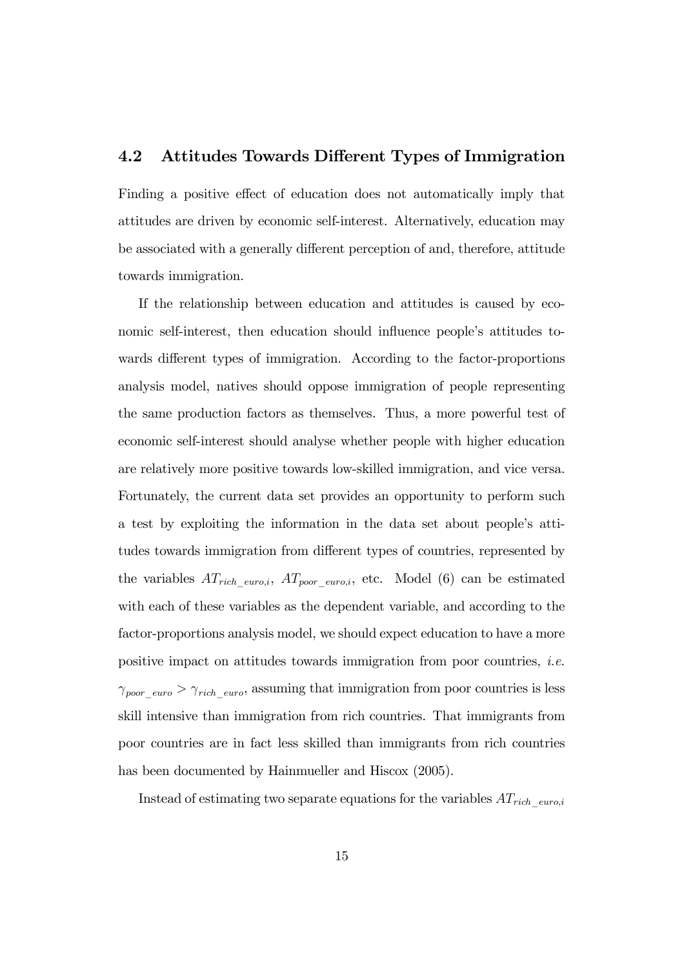# 4.2 Attitudes Towards Different Types of Immigration

Finding a positive effect of education does not automatically imply that attitudes are driven by economic self-interest. Alternatively, education may be associated with a generally different perception of and, therefore, attitude towards immigration.

If the relationship between education and attitudes is caused by economic self-interest, then education should influence people's attitudes towards different types of immigration. According to the factor-proportions analysis model, natives should oppose immigration of people representing the same production factors as themselves. Thus, a more powerful test of economic self-interest should analyse whether people with higher education are relatively more positive towards low-skilled immigration, and vice versa. Fortunately, the current data set provides an opportunity to perform such a test by exploiting the information in the data set about people's attitudes towards immigration from different types of countries, represented by the variables  $AT_{rich\_euro,i}$ ,  $AT_{poor\_euro,i}$ , etc. Model (6) can be estimated with each of these variables as the dependent variable, and according to the factor-proportions analysis model, we should expect education to have a more positive impact on attitudes towards immigration from poor countries, i.e.  $\gamma_{poor\_euro} > \gamma_{rich\_euro}$ , assuming that immigration from poor countries is less skill intensive than immigration from rich countries. That immigrants from poor countries are in fact less skilled than immigrants from rich countries has been documented by Hainmueller and Hiscox (2005).

Instead of estimating two separate equations for the variables  $AT_{rich\_euro,i}$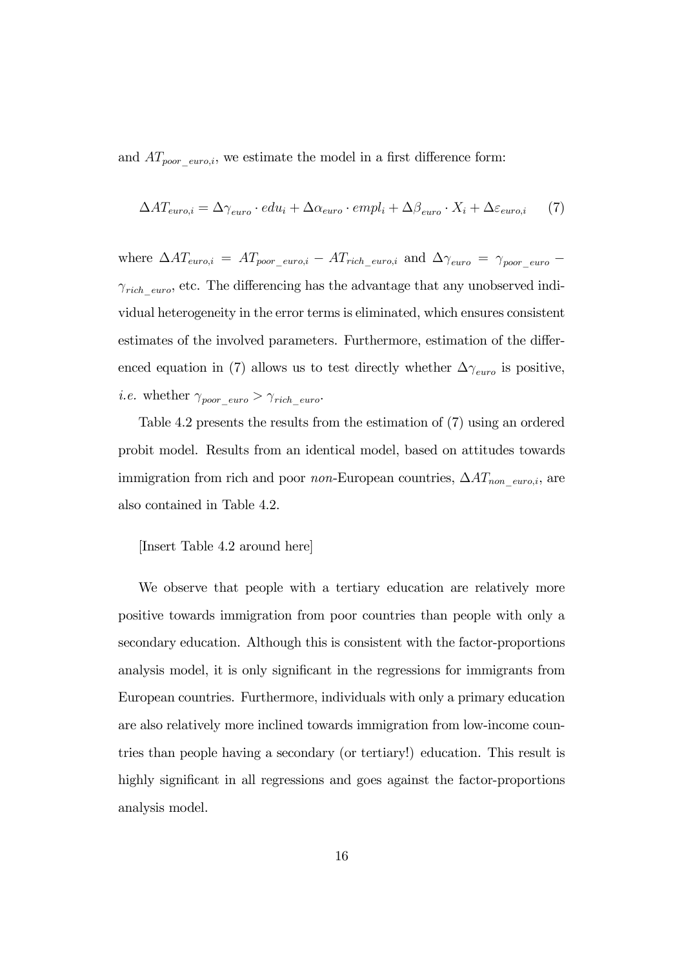and  $AT_{poor\_euro,i}$ , we estimate the model in a first difference form:

$$
\Delta AT_{euro,i} = \Delta \gamma_{euro} \cdot edu_i + \Delta \alpha_{euro} \cdot empl_i + \Delta \beta_{euro} \cdot X_i + \Delta \varepsilon_{euro,i} \tag{7}
$$

where  $\Delta AT_{euro,i} = AT_{poor\_euro,i} - AT_{rich\_euro,i}$  and  $\Delta\gamma_{euro} = \gamma_{poor\_euro} \gamma_{rich\_euro}$ , etc. The differencing has the advantage that any unobserved individual heterogeneity in the error terms is eliminated, which ensures consistent estimates of the involved parameters. Furthermore, estimation of the differenced equation in (7) allows us to test directly whether  $\Delta\gamma_{euro}$  is positive, *i.e.* whether  $\gamma_{poor\_euro} > \gamma_{rich\_euro}$ .

Table 4.2 presents the results from the estimation of (7) using an ordered probit model. Results from an identical model, based on attitudes towards immigration from rich and poor *non*-European countries,  $\Delta AT_{non-euro,i}$ , are also contained in Table 4.2.

## [Insert Table 4.2 around here]

We observe that people with a tertiary education are relatively more positive towards immigration from poor countries than people with only a secondary education. Although this is consistent with the factor-proportions analysis model, it is only significant in the regressions for immigrants from European countries. Furthermore, individuals with only a primary education are also relatively more inclined towards immigration from low-income countries than people having a secondary (or tertiary!) education. This result is highly significant in all regressions and goes against the factor-proportions analysis model.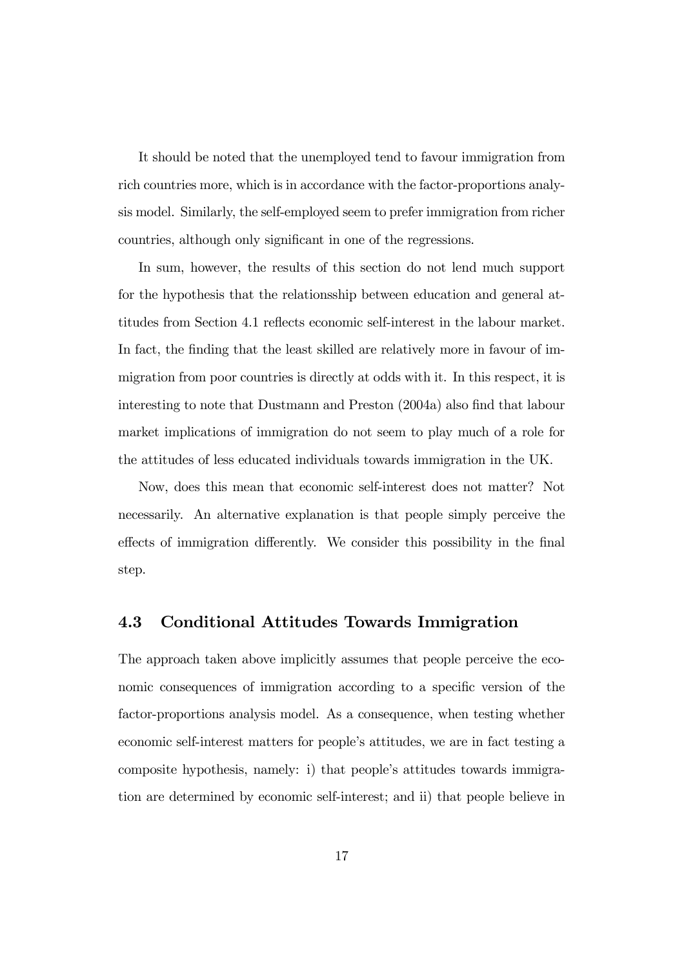It should be noted that the unemployed tend to favour immigration from rich countries more, which is in accordance with the factor-proportions analysis model. Similarly, the self-employed seem to prefer immigration from richer countries, although only significant in one of the regressions.

In sum, however, the results of this section do not lend much support for the hypothesis that the relationsship between education and general attitudes from Section 4.1 reflects economic self-interest in the labour market. In fact, the finding that the least skilled are relatively more in favour of immigration from poor countries is directly at odds with it. In this respect, it is interesting to note that Dustmann and Preston (2004a) also find that labour market implications of immigration do not seem to play much of a role for the attitudes of less educated individuals towards immigration in the UK.

Now, does this mean that economic self-interest does not matter? Not necessarily. An alternative explanation is that people simply perceive the effects of immigration differently. We consider this possibility in the final step.

## 4.3 Conditional Attitudes Towards Immigration

The approach taken above implicitly assumes that people perceive the economic consequences of immigration according to a specific version of the factor-proportions analysis model. As a consequence, when testing whether economic self-interest matters for people's attitudes, we are in fact testing a composite hypothesis, namely: i) that people's attitudes towards immigration are determined by economic self-interest; and ii) that people believe in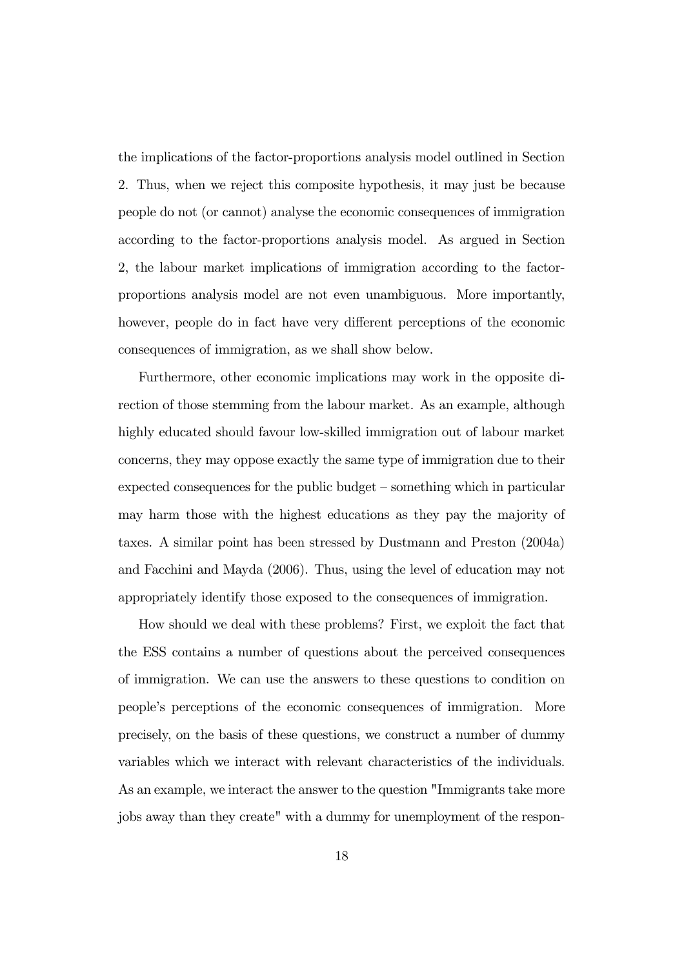the implications of the factor-proportions analysis model outlined in Section 2. Thus, when we reject this composite hypothesis, it may just be because people do not (or cannot) analyse the economic consequences of immigration according to the factor-proportions analysis model. As argued in Section 2, the labour market implications of immigration according to the factorproportions analysis model are not even unambiguous. More importantly, however, people do in fact have very different perceptions of the economic consequences of immigration, as we shall show below.

Furthermore, other economic implications may work in the opposite direction of those stemming from the labour market. As an example, although highly educated should favour low-skilled immigration out of labour market concerns, they may oppose exactly the same type of immigration due to their expected consequences for the public budget — something which in particular may harm those with the highest educations as they pay the majority of taxes. A similar point has been stressed by Dustmann and Preston (2004a) and Facchini and Mayda (2006). Thus, using the level of education may not appropriately identify those exposed to the consequences of immigration.

How should we deal with these problems? First, we exploit the fact that the ESS contains a number of questions about the perceived consequences of immigration. We can use the answers to these questions to condition on people's perceptions of the economic consequences of immigration. More precisely, on the basis of these questions, we construct a number of dummy variables which we interact with relevant characteristics of the individuals. As an example, we interact the answer to the question "Immigrants take more jobs away than they create" with a dummy for unemployment of the respon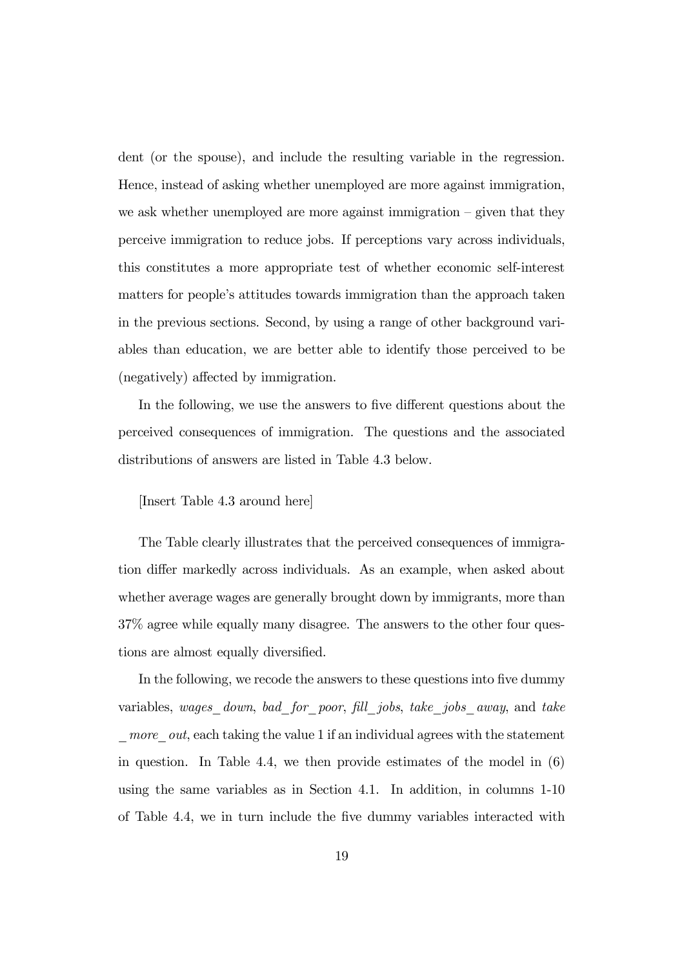dent (or the spouse), and include the resulting variable in the regression. Hence, instead of asking whether unemployed are more against immigration, we ask whether unemployed are more against immigration — given that they perceive immigration to reduce jobs. If perceptions vary across individuals, this constitutes a more appropriate test of whether economic self-interest matters for people's attitudes towards immigration than the approach taken in the previous sections. Second, by using a range of other background variables than education, we are better able to identify those perceived to be (negatively) affected by immigration.

In the following, we use the answers to five different questions about the perceived consequences of immigration. The questions and the associated distributions of answers are listed in Table 4.3 below.

## [Insert Table 4.3 around here]

The Table clearly illustrates that the perceived consequences of immigration differ markedly across individuals. As an example, when asked about whether average wages are generally brought down by immigrants, more than 37% agree while equally many disagree. The answers to the other four questions are almost equally diversified.

In the following, we recode the answers to these questions into five dummy variables, wages down, bad for poor, fill jobs, take jobs away, and take  $more\,$  *out*, each taking the value 1 if an individual agrees with the statement in question. In Table 4.4, we then provide estimates of the model in  $(6)$ using the same variables as in Section 4.1. In addition, in columns 1-10 of Table 4.4, we in turn include the five dummy variables interacted with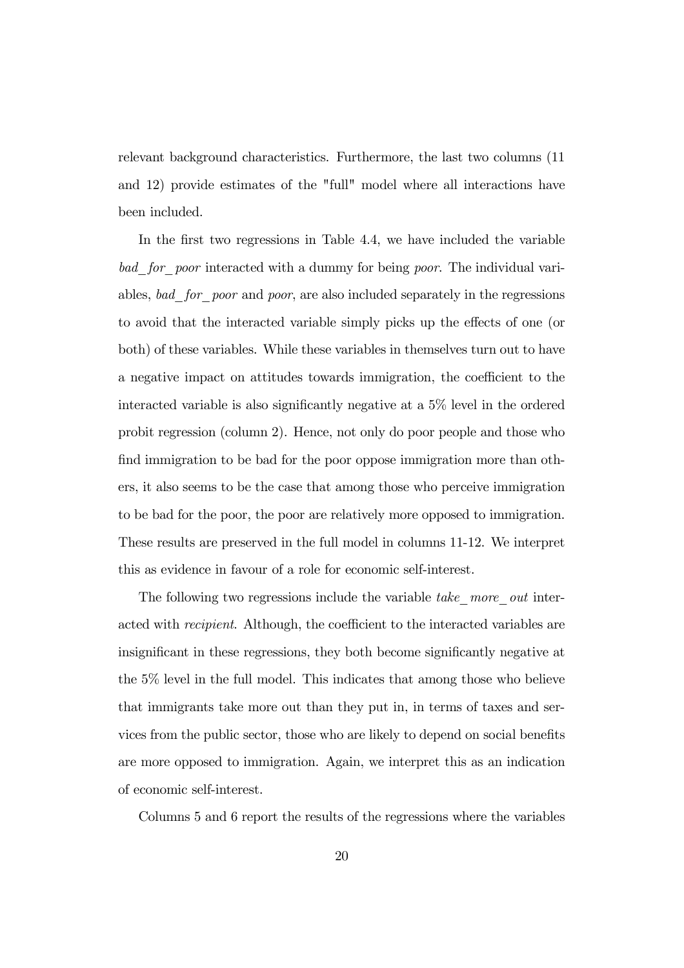relevant background characteristics. Furthermore, the last two columns (11 and 12) provide estimates of the "full" model where all interactions have been included.

In the first two regressions in Table 4.4, we have included the variable bad for poor interacted with a dummy for being poor. The individual variables, bad for poor and poor, are also included separately in the regressions to avoid that the interacted variable simply picks up the effects of one (or both) of these variables. While these variables in themselves turn out to have a negative impact on attitudes towards immigration, the coefficient to the interacted variable is also significantly negative at a 5% level in the ordered probit regression (column 2). Hence, not only do poor people and those who find immigration to be bad for the poor oppose immigration more than others, it also seems to be the case that among those who perceive immigration to be bad for the poor, the poor are relatively more opposed to immigration. These results are preserved in the full model in columns 11-12. We interpret this as evidence in favour of a role for economic self-interest.

The following two regressions include the variable take more out interacted with recipient. Although, the coefficient to the interacted variables are insignificant in these regressions, they both become significantly negative at the 5% level in the full model. This indicates that among those who believe that immigrants take more out than they put in, in terms of taxes and services from the public sector, those who are likely to depend on social benefits are more opposed to immigration. Again, we interpret this as an indication of economic self-interest.

Columns 5 and 6 report the results of the regressions where the variables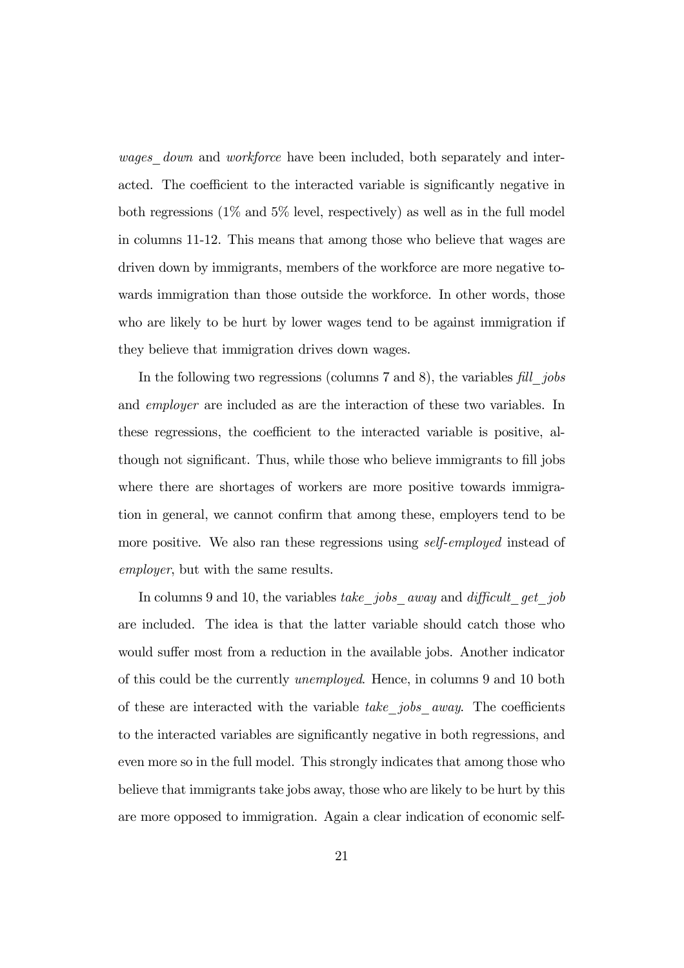wages down and workforce have been included, both separately and interacted. The coefficient to the interacted variable is significantly negative in both regressions  $(1\%$  and  $5\%$  level, respectively) as well as in the full model in columns 11-12. This means that among those who believe that wages are driven down by immigrants, members of the workforce are more negative towards immigration than those outside the workforce. In other words, those who are likely to be hurt by lower wages tend to be against immigration if they believe that immigration drives down wages.

In the following two regressions (columns 7 and 8), the variables fill jobs and employer are included as are the interaction of these two variables. In these regressions, the coefficient to the interacted variable is positive, although not significant. Thus, while those who believe immigrants to fill jobs where there are shortages of workers are more positive towards immigration in general, we cannot confirm that among these, employers tend to be more positive. We also ran these regressions using *self-employed* instead of employer, but with the same results.

In columns 9 and 10, the variables take jobs away and difficult get job are included. The idea is that the latter variable should catch those who would suffer most from a reduction in the available jobs. Another indicator of this could be the currently unemployed. Hence, in columns 9 and 10 both of these are interacted with the variable take jobs away. The coefficients to the interacted variables are significantly negative in both regressions, and even more so in the full model. This strongly indicates that among those who believe that immigrants take jobs away, those who are likely to be hurt by this are more opposed to immigration. Again a clear indication of economic self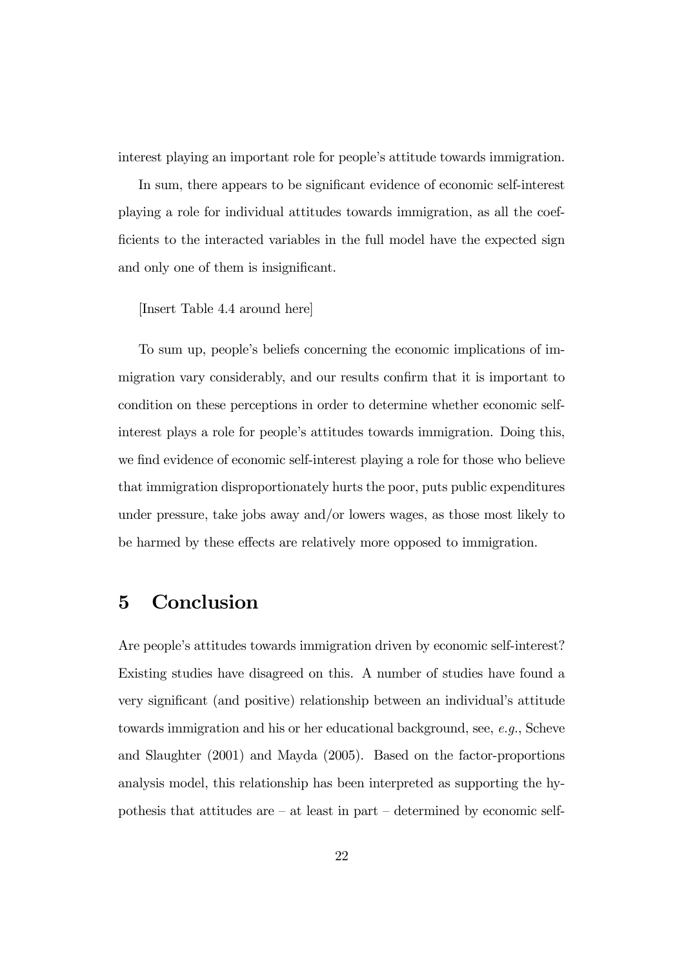interest playing an important role for people's attitude towards immigration.

In sum, there appears to be significant evidence of economic self-interest playing a role for individual attitudes towards immigration, as all the coefficients to the interacted variables in the full model have the expected sign and only one of them is insignificant.

### [Insert Table 4.4 around here]

To sum up, people's beliefs concerning the economic implications of immigration vary considerably, and our results confirm that it is important to condition on these perceptions in order to determine whether economic selfinterest plays a role for people's attitudes towards immigration. Doing this, we find evidence of economic self-interest playing a role for those who believe that immigration disproportionately hurts the poor, puts public expenditures under pressure, take jobs away and/or lowers wages, as those most likely to be harmed by these effects are relatively more opposed to immigration.

# 5 Conclusion

Are people's attitudes towards immigration driven by economic self-interest? Existing studies have disagreed on this. A number of studies have found a very significant (and positive) relationship between an individual's attitude towards immigration and his or her educational background, see, e.g., Scheve and Slaughter (2001) and Mayda (2005). Based on the factor-proportions analysis model, this relationship has been interpreted as supporting the hypothesis that attitudes are — at least in part — determined by economic self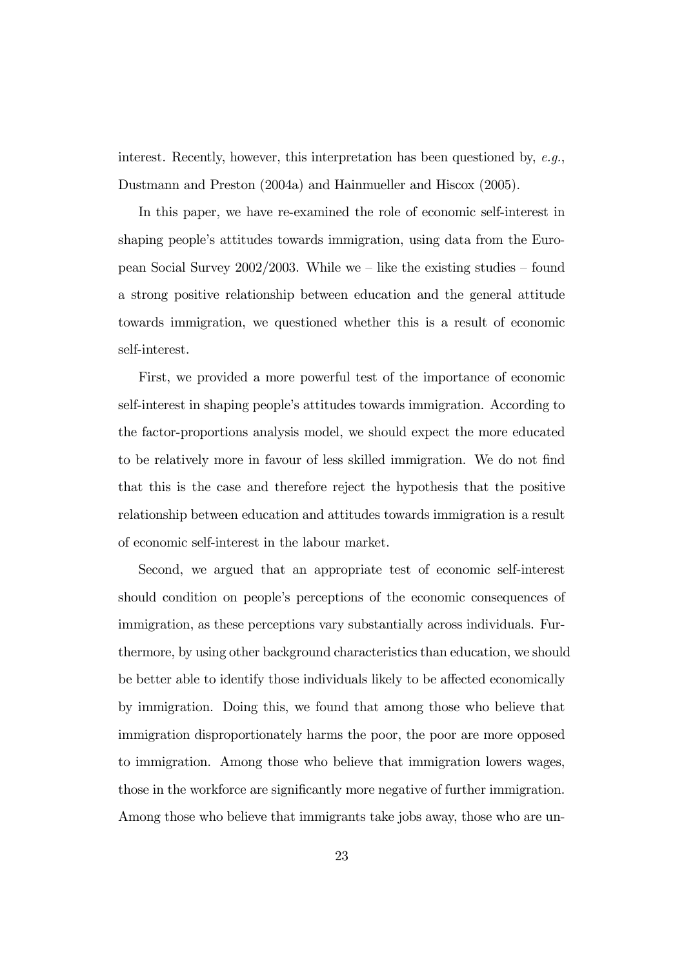interest. Recently, however, this interpretation has been questioned by,  $e.g.,$ Dustmann and Preston (2004a) and Hainmueller and Hiscox (2005).

In this paper, we have re-examined the role of economic self-interest in shaping people's attitudes towards immigration, using data from the European Social Survey  $2002/2003$ . While we – like the existing studies – found a strong positive relationship between education and the general attitude towards immigration, we questioned whether this is a result of economic self-interest.

First, we provided a more powerful test of the importance of economic self-interest in shaping people's attitudes towards immigration. According to the factor-proportions analysis model, we should expect the more educated to be relatively more in favour of less skilled immigration. We do not find that this is the case and therefore reject the hypothesis that the positive relationship between education and attitudes towards immigration is a result of economic self-interest in the labour market.

Second, we argued that an appropriate test of economic self-interest should condition on people's perceptions of the economic consequences of immigration, as these perceptions vary substantially across individuals. Furthermore, by using other background characteristics than education, we should be better able to identify those individuals likely to be affected economically by immigration. Doing this, we found that among those who believe that immigration disproportionately harms the poor, the poor are more opposed to immigration. Among those who believe that immigration lowers wages, those in the workforce are significantly more negative of further immigration. Among those who believe that immigrants take jobs away, those who are un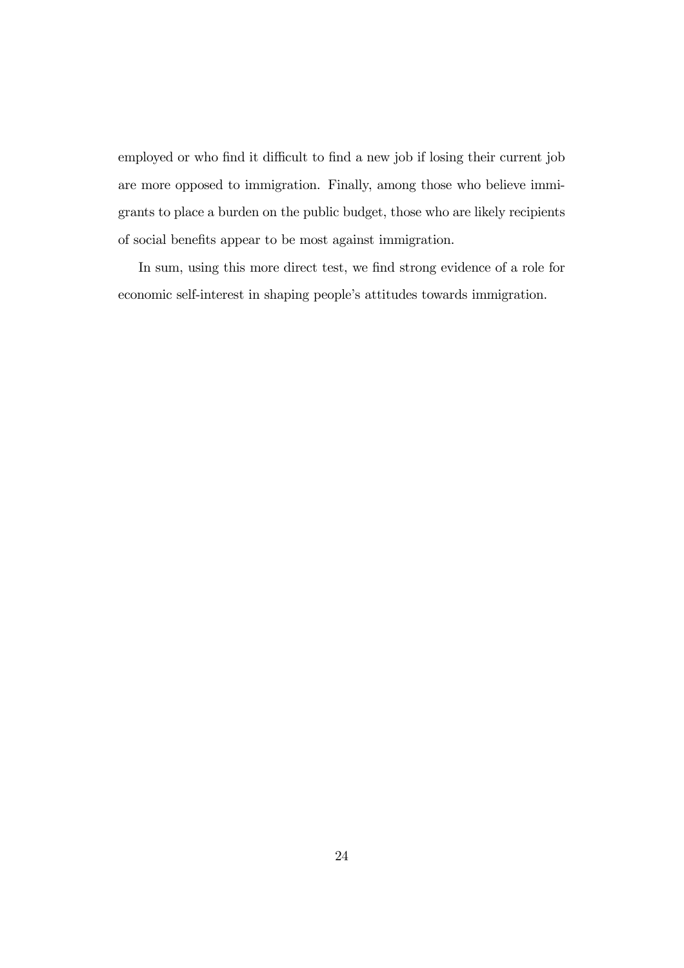employed or who find it difficult to find a new job if losing their current job are more opposed to immigration. Finally, among those who believe immigrants to place a burden on the public budget, those who are likely recipients of social benefits appear to be most against immigration.

In sum, using this more direct test, we find strong evidence of a role for economic self-interest in shaping people's attitudes towards immigration.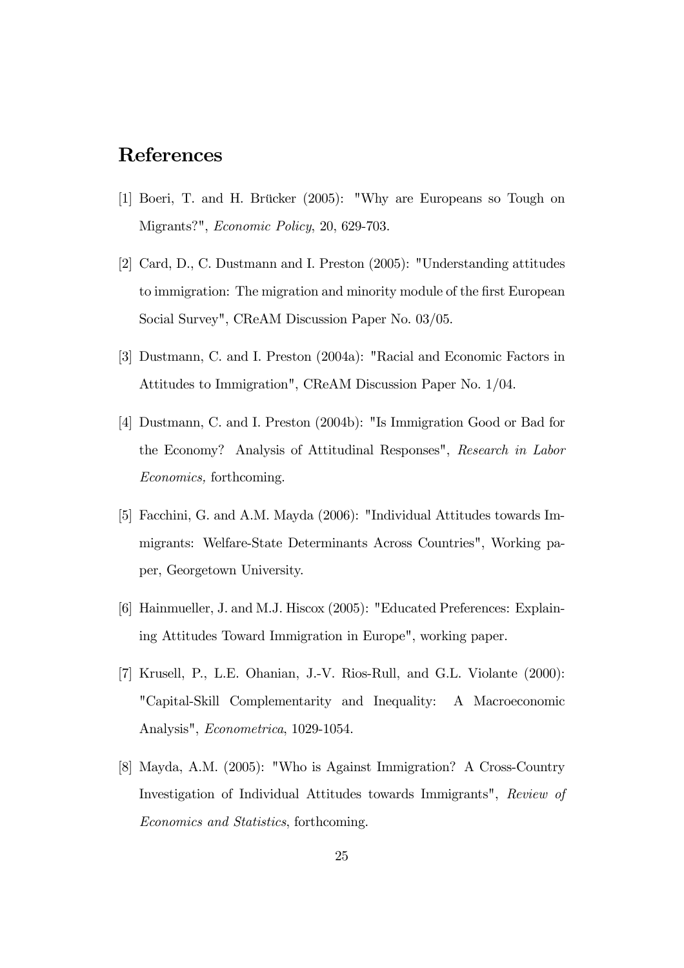# References

- [1] Boeri, T. and H. Brücker (2005): "Why are Europeans so Tough on Migrants?", Economic Policy, 20, 629-703.
- [2] Card, D., C. Dustmann and I. Preston (2005): "Understanding attitudes to immigration: The migration and minority module of the first European Social Survey", CReAM Discussion Paper No. 03/05.
- [3] Dustmann, C. and I. Preston (2004a): "Racial and Economic Factors in Attitudes to Immigration", CReAM Discussion Paper No. 1/04.
- [4] Dustmann, C. and I. Preston (2004b): "Is Immigration Good or Bad for the Economy? Analysis of Attitudinal Responses", Research in Labor Economics, forthcoming.
- [5] Facchini, G. and A.M. Mayda (2006): "Individual Attitudes towards Immigrants: Welfare-State Determinants Across Countries", Working paper, Georgetown University.
- [6] Hainmueller, J. and M.J. Hiscox (2005): "Educated Preferences: Explaining Attitudes Toward Immigration in Europe", working paper.
- [7] Krusell, P., L.E. Ohanian, J.-V. Rios-Rull, and G.L. Violante (2000): "Capital-Skill Complementarity and Inequality: A Macroeconomic Analysis", Econometrica, 1029-1054.
- [8] Mayda, A.M. (2005): "Who is Against Immigration? A Cross-Country Investigation of Individual Attitudes towards Immigrants", Review of Economics and Statistics, forthcoming.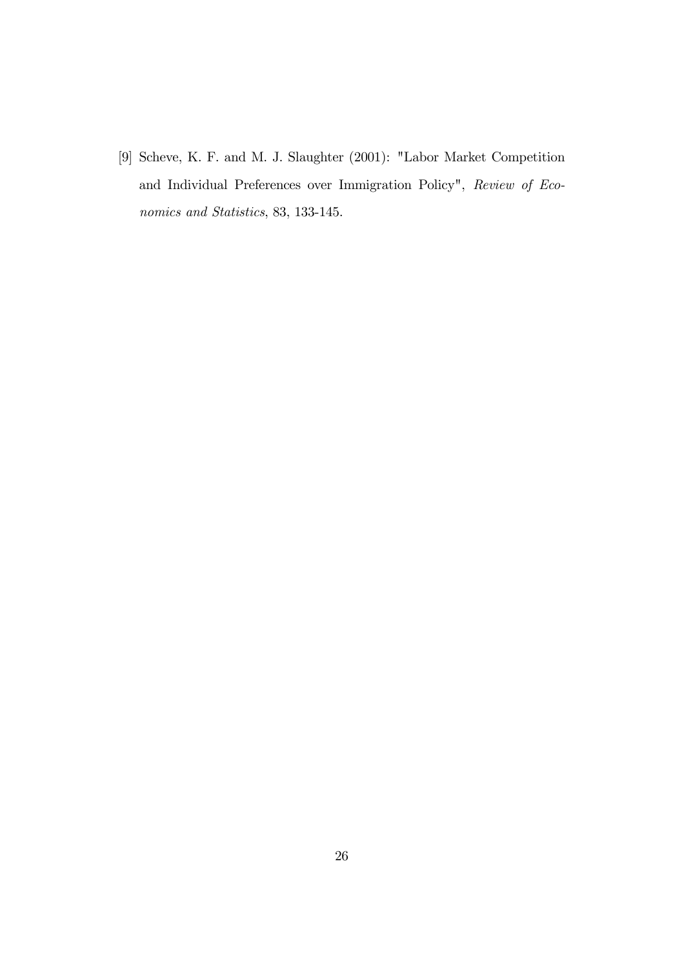[9] Scheve, K. F. and M. J. Slaughter (2001): "Labor Market Competition and Individual Preferences over Immigration Policy", Review of Economics and Statistics, 83, 133-145.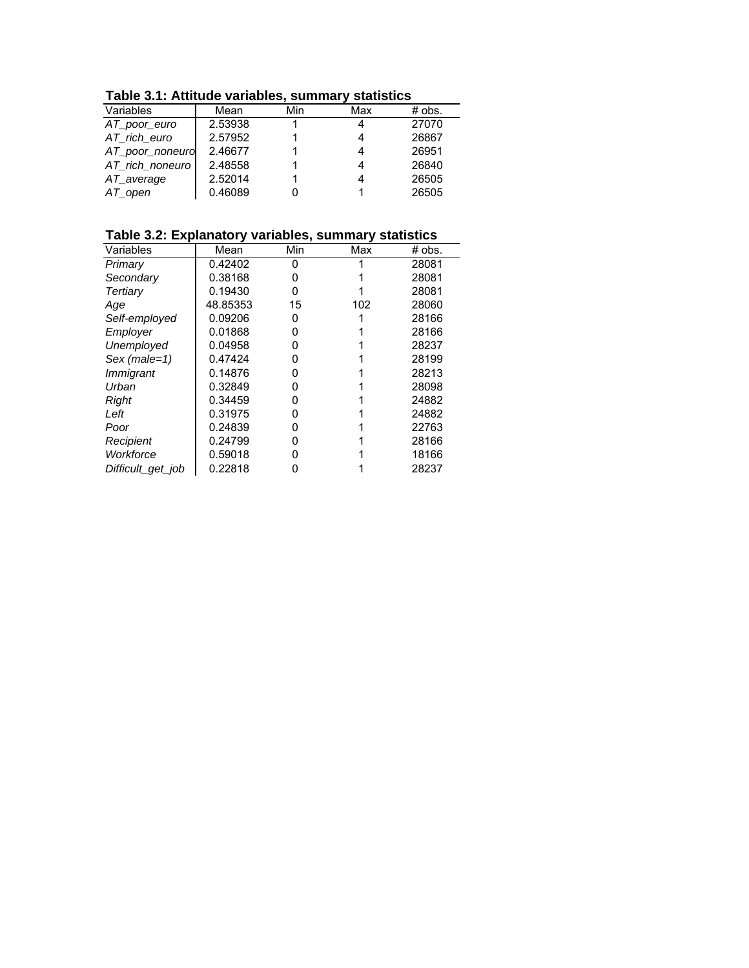**Table 3.1: Attitude variables, summary statistics**

| Table 3.1: Attitude variables, summary statistics |         |     |     |          |  |  |  |  |
|---------------------------------------------------|---------|-----|-----|----------|--|--|--|--|
| Variables                                         | Mean    | Min | Max | $#$ obs. |  |  |  |  |
| AT_poor_euro                                      | 2.53938 |     | 4   | 27070    |  |  |  |  |
| AT_rich_euro                                      | 2.57952 |     |     | 26867    |  |  |  |  |
| AT_poor_noneuro                                   | 2.46677 |     |     | 26951    |  |  |  |  |
| AT rich noneuro                                   | 2.48558 |     |     | 26840    |  |  |  |  |
| AT_average                                        | 2.52014 |     | 4   | 26505    |  |  |  |  |
| $AT$ _open                                        | 0.46089 |     |     | 26505    |  |  |  |  |

**Table 3.2: Explanatory variables, summary statistics**

| Variables         | Mean     | Min | Max | # obs. |
|-------------------|----------|-----|-----|--------|
| Primary           | 0.42402  | 0   |     | 28081  |
| Secondary         | 0.38168  |     |     | 28081  |
| Tertiary          | 0.19430  | ი   |     | 28081  |
| Age               | 48.85353 | 15  | 102 | 28060  |
| Self-employed     | 0.09206  | 0   |     | 28166  |
| Employer          | 0.01868  | O   |     | 28166  |
| Unemployed        | 0.04958  | O   |     | 28237  |
| $Sex (male=1)$    | 0.47424  | O   |     | 28199  |
| <i>Immigrant</i>  | 0.14876  | 0   |     | 28213  |
| Urban             | 0.32849  | 0   |     | 28098  |
| Right             | 0.34459  | n   |     | 24882  |
| Left              | 0.31975  | O   |     | 24882  |
| Poor              | 0.24839  | O   |     | 22763  |
| Recipient         | 0.24799  |     |     | 28166  |
| Workforce         | 0.59018  |     |     | 18166  |
| Difficult_get_job | 0.22818  |     |     | 28237  |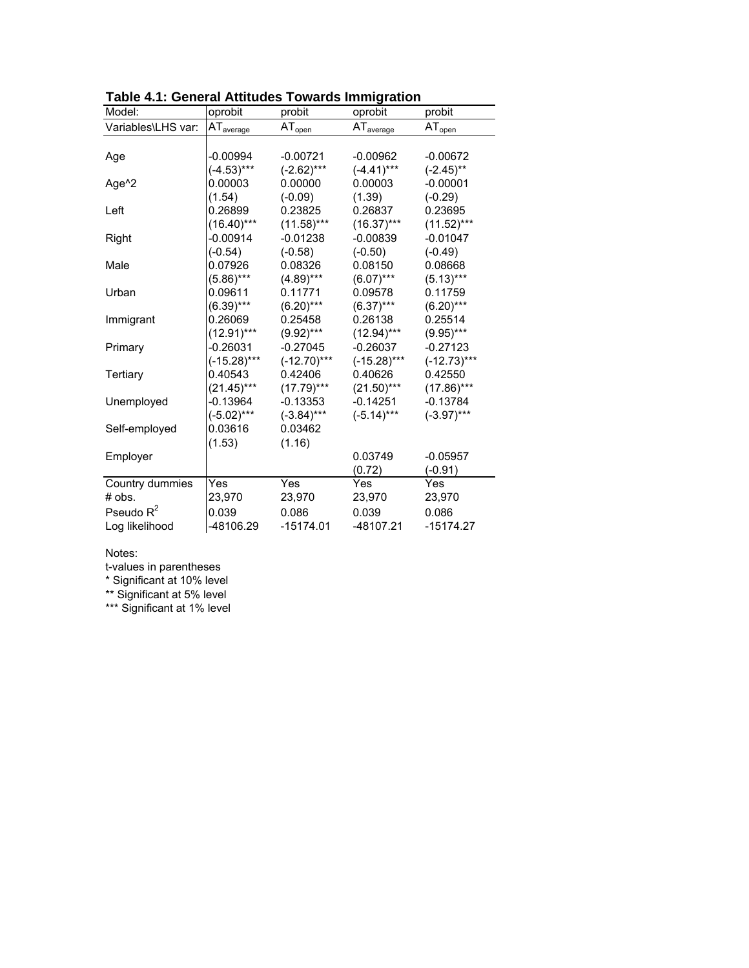| Model:             | oprobit               | probit         | oprobit               | probit        |
|--------------------|-----------------------|----------------|-----------------------|---------------|
| Variables\LHS var: | AT <sub>average</sub> | $AT_{open}$    | AT <sub>average</sub> | $AT_{open}$   |
|                    |                       |                |                       |               |
| Age                | $-0.00994$            | $-0.00721$     | $-0.00962$            | $-0.00672$    |
|                    | $(-4.53)***$          | $(-2.62)***$   | $(-4.41)***$          | $(-2.45)$ **  |
| Age <sup>^2</sup>  | 0.00003               | 0.00000        | 0.00003               | $-0.00001$    |
|                    | (1.54)                | $(-0.09)$      | (1.39)                | $(-0.29)$     |
| Left               | 0.26899               | 0.23825        | 0.26837               | 0.23695       |
|                    | $(16.40)***$          | $(11.58)***$   | $(16.37)***$          | $(11.52)***$  |
| Right              | $-0.00914$            | $-0.01238$     | $-0.00839$            | $-0.01047$    |
|                    | $(-0.54)$             | $(-0.58)$      | $(-0.50)$             | $(-0.49)$     |
| Male               | 0.07926               | 0.08326        | 0.08150               | 0.08668       |
|                    | $(5.86)***$           | $(4.89)***$    | $(6.07)***$           | $(5.13)***$   |
| Urban              | 0.09611               | 0.11771        | 0.09578               | 0.11759       |
|                    | $(6.39)***$           | $(6.20)***$    | $(6.37)***$           | $(6.20***$    |
| Immigrant          | 0.26069               | 0.25458        | 0.26138               | 0.25514       |
|                    | $(12.91)***$          | $(9.92)***$    | $(12.94)***$          | $(9.95)***$   |
| Primary            | $-0.26031$            | $-0.27045$     | $-0.26037$            | $-0.27123$    |
|                    | $(-15.28)***$         | $(-12.70)$ *** | $(-15.28)***$         | $(-12.73)***$ |
| Tertiary           | 0.40543               | 0.42406        | 0.40626               | 0.42550       |
|                    | $(21.45)***$          | $(17.79)***$   | $(21.50)$ ***         | $(17.86)***$  |
| Unemployed         | $-0.13964$            | $-0.13353$     | $-0.14251$            | $-0.13784$    |
|                    | $(-5.02)***$          | $(-3.84)***$   | $(-5.14)***$          | $(-3.97)***$  |
| Self-employed      | 0.03616               | 0.03462        |                       |               |
|                    | (1.53)                | (1.16)         |                       |               |
| Employer           |                       |                | 0.03749               | $-0.05957$    |
|                    |                       |                | (0.72)                | $(-0.91)$     |
| Country dummies    | Yes                   | Yes            | Yes                   | Yes           |
| # obs.             | 23,970                | 23,970         | 23,970                | 23,970        |
| Pseudo $R^2$       | 0.039                 | 0.086          | 0.039                 | 0.086         |
| Log likelihood     | -48106.29             | $-15174.01$    | -48107.21             | $-15174.27$   |

**Table 4.1: General Attitudes Towards Immigration**

## Notes:

t-values in parentheses

\* Significant at 10% level

\*\* Significant at 5% level

\*\*\* Significant at 1% level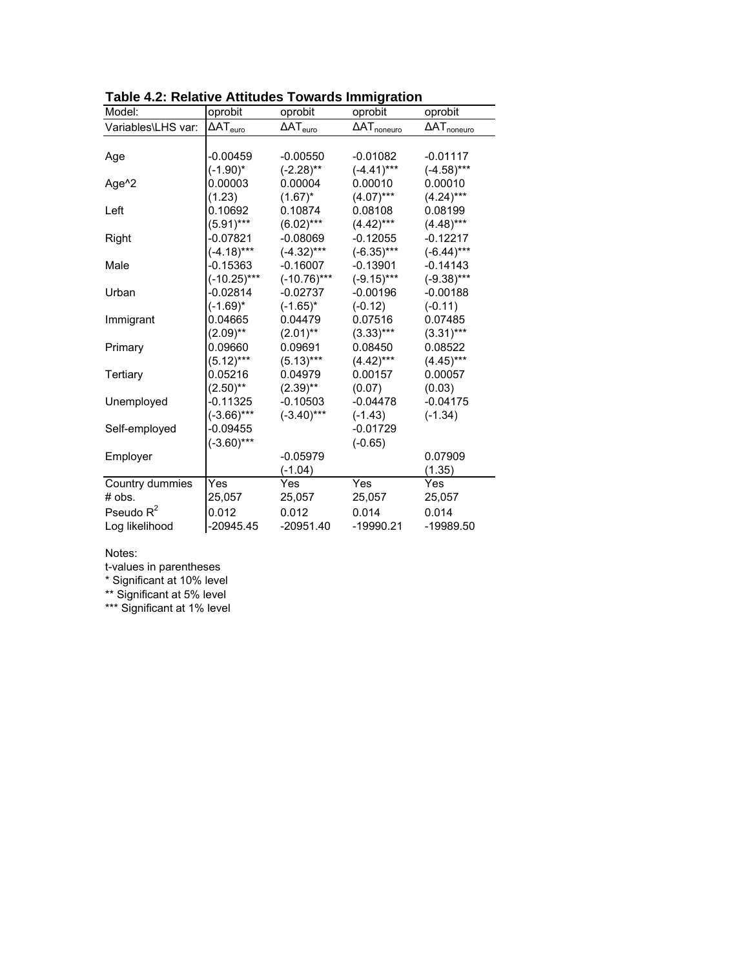| Model:             | oprobit<br>oprobit |                    | oprobit               | oprobit               |  |
|--------------------|--------------------|--------------------|-----------------------|-----------------------|--|
| Variables\LHS var: | $\Delta AT_{euro}$ | $\Delta AT_{euro}$ | $\Delta AT_{noneuro}$ | $\Delta AT_{noneuro}$ |  |
|                    |                    |                    |                       |                       |  |
| Age                | $-0.00459$         | $-0.00550$         | $-0.01082$            | $-0.01117$            |  |
|                    | $(-1.90)^*$        | $(-2.28)$ **       | $(-4.41)$ ***         | $(-4.58)$ ***         |  |
| Age <sup>^2</sup>  | 0.00003            | 0.00004            | 0.00010               | 0.00010               |  |
|                    | (1.23)             | $(1.67)^*$         | $(4.07)***$           | $(4.24)***$           |  |
| Left               | 0.10692            | 0.10874            | 0.08108               | 0.08199               |  |
|                    | $(5.91)***$        | $(6.02)***$        | $(4.42)***$           | $(4.48)***$           |  |
| Right              | $-0.07821$         | $-0.08069$         | $-0.12055$            | $-0.12217$            |  |
|                    | $(-4.18)***$       | $(-4.32)***$       | $(-6.35)***$          | $(-6.44)***$          |  |
| Male               | $-0.15363$         | $-0.16007$         | $-0.13901$            | $-0.14143$            |  |
|                    | $(-10.25)***$      | $(-10.76)$ ***     | $(-9.15)***$          | $(-9.38)$ ***         |  |
| Urban              | $-0.02814$         | $-0.02737$         | $-0.00196$            | $-0.00188$            |  |
|                    | $(-1.69)^*$        | $(-1.65)^*$        | $(-0.12)$             | $(-0.11)$             |  |
| Immigrant          | 0.04665            | 0.04479            | 0.07516               | 0.07485               |  |
|                    | $(2.09)$ **        | $(2.01)$ **        | $(3.33)***$           | $(3.31)***$           |  |
| Primary            | 0.09660            | 0.09691            | 0.08450               | 0.08522               |  |
|                    | $(5.12)***$        | $(5.13)***$        | $(4.42)***$           | $(4.45)***$           |  |
| Tertiary           | 0.05216            | 0.04979            | 0.00157               | 0.00057               |  |
|                    | $(2.50)$ **        | $(2.39)$ **        | (0.07)                | (0.03)                |  |
| Unemployed         | $-0.11325$         | $-0.10503$         | $-0.04478$            | $-0.04175$            |  |
|                    | $(-3.66)***$       | $(-3.40)$ ***      | $(-1.43)$             | $(-1.34)$             |  |
| Self-employed      | $-0.09455$         |                    | $-0.01729$            |                       |  |
|                    | $(-3.60)***$       |                    | $(-0.65)$             |                       |  |
| Employer           |                    | $-0.05979$         |                       | 0.07909               |  |
|                    |                    | $(-1.04)$          |                       | (1.35)                |  |
| Country dummies    | Yes                | Yes                | Yes                   | Yes                   |  |
| # obs.             | 25,057             | 25,057             | 25,057                | 25,057                |  |
| Pseudo $R^2$       | 0.012              | 0.012              | 0.014                 | 0.014                 |  |
| Log likelihood     | -20945.45          | $-20951.40$        | -19990.21             | -19989.50             |  |

**Table 4.2: Relative Attitudes Towards Immigration**

## Notes:

t-values in parentheses

\* Significant at 10% level

\*\* Significant at 5% level

\*\*\* Significant at 1% level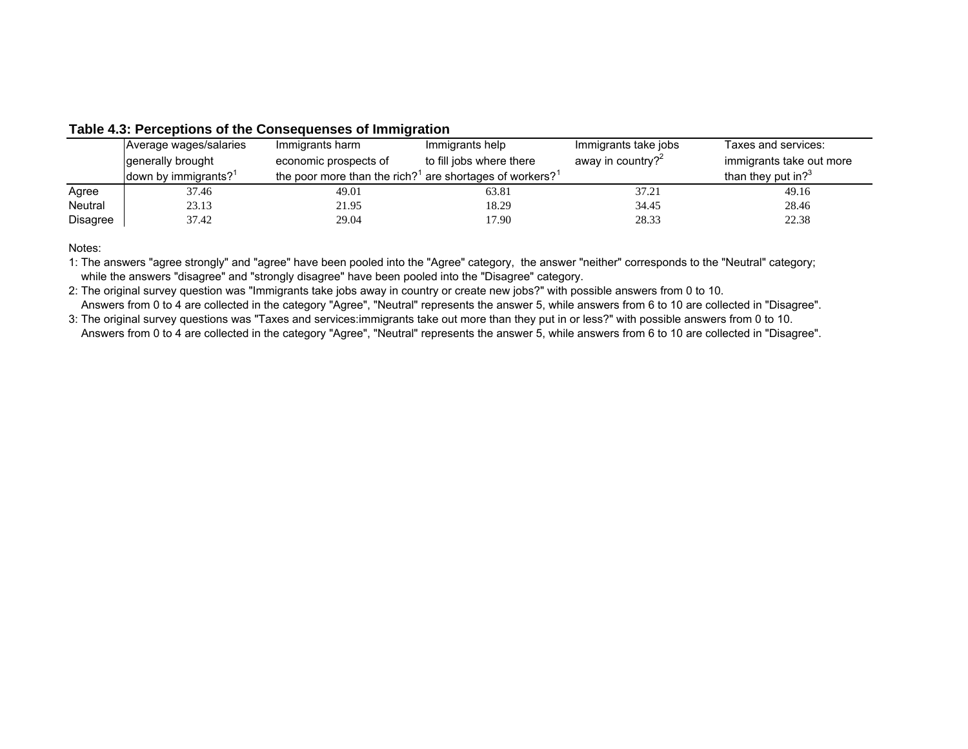|          | Average wages/salaries           | Immigrants harm                                                                  | Immigrants help          | Immigrants take jobs          | Taxes and services:           |
|----------|----------------------------------|----------------------------------------------------------------------------------|--------------------------|-------------------------------|-------------------------------|
|          | generally brought                | economic prospects of                                                            | to fill jobs where there | away in country? <sup>2</sup> | immigrants take out more      |
|          | down by immigrants? <sup>1</sup> | the poor more than the rich? <sup>1</sup> are shortages of workers? <sup>1</sup> |                          |                               | than they put in? $3^{\circ}$ |
| Agree    | 37.46                            | 49.01                                                                            | 63.81                    | 37.21                         | 49.16                         |
| Neutral  | 23.13                            | 21.95                                                                            | 18.29                    | 34.45                         | 28.46                         |
| Disagree | 37.42                            | 29.04                                                                            | 17.90                    | 28.33                         | 22.38                         |

# **Table 4.3: Perceptions of the Consequenses of Immigration**

Notes:

1: The answers "agree strongly" and "agree" have been pooled into the "Agree" category, the answer "neither" corresponds to the "Neutral" category; while the answers "disagree" and "strongly disagree" have been pooled into the "Disagree" category.

2: The original survey question was "Immigrants take jobs away in country or create new jobs?" with possible answers from 0 to 10. Answers from 0 to 4 are collected in the category "Agree", "Neutral" represents the answer 5, while answers from 6 to 10 are collected in "Disagree".

3: The original survey questions was "Taxes and services:immigrants take out more than they put in or less?" with possible answers from 0 to 10. Answers from 0 to 4 are collected in the category "Agree", "Neutral" represents the answer 5, while answers from 6 to 10 are collected in "Disagree".